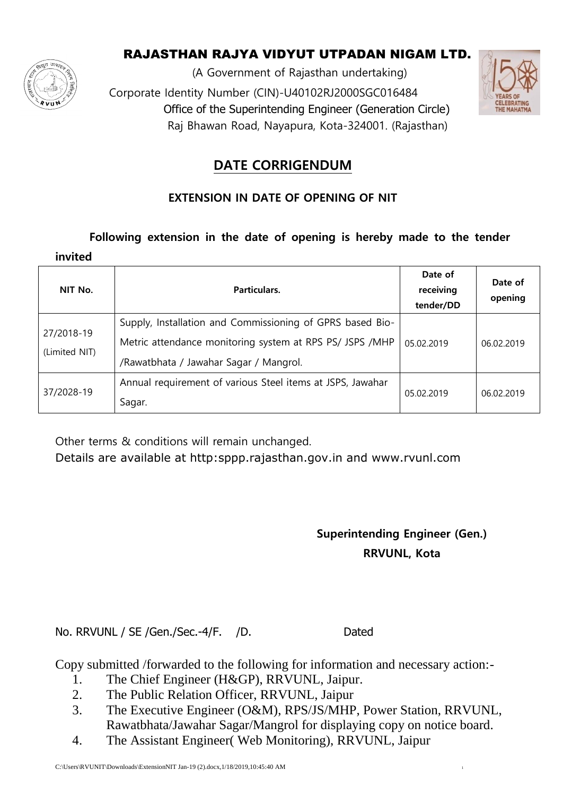

## RAJASTHAN RAJYA VIDYUT UTPADAN NIGAM LTD.

(A Government of Rajasthan undertaking) Corporate Identity Number (CIN)-U40102RJ2000SGC016484 Office of the Superintending Engineer (Generation Circle) Raj Bhawan Road, Nayapura, Kota-324001. (Rajasthan)



## **DATE CORRIGENDUM**

### **EXTENSION IN DATE OF OPENING OF NIT**

#### **Following extension in the date of opening is hereby made to the tender**

| invited                     |                                                                                                                                                                 |                                   |                    |
|-----------------------------|-----------------------------------------------------------------------------------------------------------------------------------------------------------------|-----------------------------------|--------------------|
| NIT No.                     | Particulars.                                                                                                                                                    | Date of<br>receiving<br>tender/DD | Date of<br>opening |
| 27/2018-19<br>(Limited NIT) | Supply, Installation and Commissioning of GPRS based Bio-<br>Metric attendance monitoring system at RPS PS/ JSPS /MHP<br>/Rawatbhata / Jawahar Sagar / Mangrol. | 05.02.2019                        | 06.02.2019         |
| 37/2028-19                  | Annual requirement of various Steel items at JSPS, Jawahar<br>Sagar.                                                                                            | 05.02.2019                        | 06.02.2019         |

Other terms & conditions will remain unchanged.

Details are available at http:sppp.rajasthan.gov.in and www.rvunl.com

# **Superintending Engineer (Gen.) RRVUNL, Kota**

No. RRVUNL / SE / Gen. / Sec. - 4 / F. / D. Dated

Copy submitted /forwarded to the following for information and necessary action:-

- 1. The Chief Engineer (H&GP), RRVUNL, Jaipur.
- 2. The Public Relation Officer, RRVUNL, Jaipur
- 3. The Executive Engineer (O&M), RPS/JS/MHP, Power Station, RRVUNL, Rawatbhata/Jawahar Sagar/Mangrol for displaying copy on notice board.
- 4. The Assistant Engineer( Web Monitoring), RRVUNL, Jaipur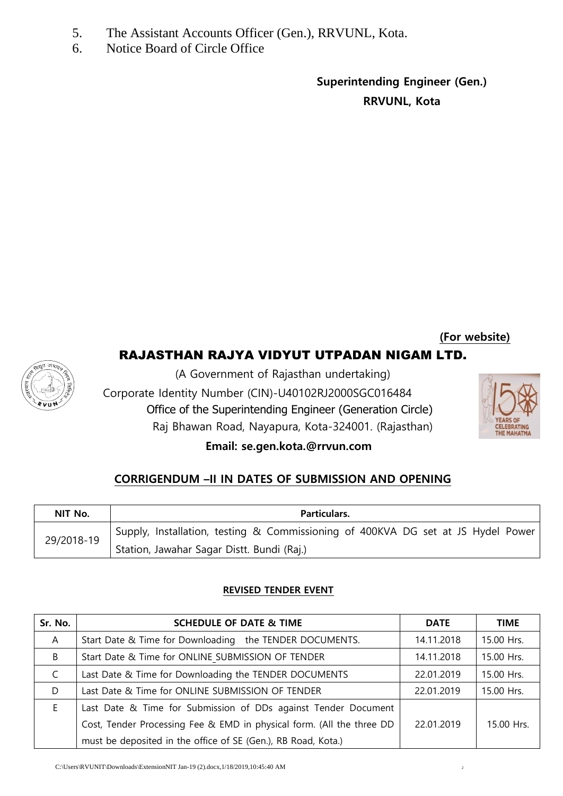- 5. The Assistant Accounts Officer (Gen.), RRVUNL, Kota.
- 6. Notice Board of Circle Office

**Superintending Engineer (Gen.) RRVUNL, Kota**

**(For website)**

### RAJASTHAN RAJYA VIDYUT UTPADAN NIGAM LTD.



(A Government of Rajasthan undertaking)

 Corporate Identity Number (CIN)-U40102RJ2000SGC016484 Office of the Superintending Engineer (Generation Circle) Raj Bhawan Road, Nayapura, Kota-324001. (Rajasthan)



#### **Email: se.gen.kota.@rrvun.com**

#### **CORRIGENDUM –II IN DATES OF SUBMISSION AND OPENING**

| NIT No.    | Particulars.                                                                     |
|------------|----------------------------------------------------------------------------------|
| 29/2018-19 | Supply, Installation, testing & Commissioning of 400KVA DG set at JS Hydel Power |
|            | Station, Jawahar Sagar Distt. Bundi (Raj.)                                       |

#### **REVISED TENDER EVENT**

| Sr. No. | <b>SCHEDULE OF DATE &amp; TIME</b>                                    | <b>DATE</b> | <b>TIME</b> |
|---------|-----------------------------------------------------------------------|-------------|-------------|
| A       | Start Date & Time for Downloading the TENDER DOCUMENTS.               | 14.11.2018  | 15.00 Hrs.  |
| B       | Start Date & Time for ONLINE SUBMISSION OF TENDER                     | 14.11.2018  | 15.00 Hrs.  |
| C       | Last Date & Time for Downloading the TENDER DOCUMENTS                 | 22.01.2019  | 15.00 Hrs.  |
| D       | Last Date & Time for ONLINE SUBMISSION OF TENDER                      | 22.01.2019  | 15.00 Hrs.  |
| F.      | Last Date & Time for Submission of DDs against Tender Document        |             |             |
|         | Cost, Tender Processing Fee & EMD in physical form. (All the three DD | 22.01.2019  | 15.00 Hrs.  |
|         | must be deposited in the office of SE (Gen.), RB Road, Kota.)         |             |             |

C:\Users\RVUNIT\Downloads\ExtensionNIT Jan-19 (2).docx,1/18/2019,10:45:40 AM <sup>2</sup>